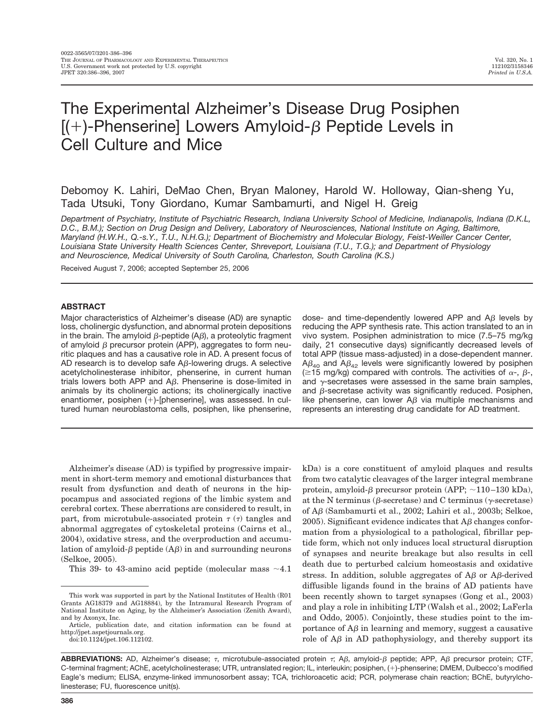# The Experimental Alzheimer's Disease Drug Posiphen  $[ (+)$ -Phenserine] Lowers Amyloid- $\beta$  Peptide Levels in Cell Culture and Mice

Debomoy K. Lahiri, DeMao Chen, Bryan Maloney, Harold W. Holloway, Qian-sheng Yu, Tada Utsuki, Tony Giordano, Kumar Sambamurti, and Nigel H. Greig

Department of Psychiatry, Institute of Psychiatric Research, Indiana University School of Medicine, Indianapolis, Indiana (D.K.L. D.C., B.M.); Section on Drug Design and Delivery, Laboratory of Neurosciences, National Institute on Aging, Baltimore, *Maryland (H.W.H., Q.-s.Y., T.U., N.H.G.); Department of Biochemistry and Molecular Biology, Feist-Weiller Cancer Center, Louisiana State University Health Sciences Center, Shreveport, Louisiana (T.U., T.G.); and Department of Physiology and Neuroscience, Medical University of South Carolina, Charleston, South Carolina (K.S.)*

Received August 7, 2006; accepted September 25, 2006

## **ABSTRACT**

Major characteristics of Alzheimer's disease (AD) are synaptic loss, cholinergic dysfunction, and abnormal protein depositions in the brain. The amyloid  $\beta$ -peptide (A $\beta$ ), a proteolytic fragment of amyloid  $\beta$  precursor protein (APP), aggregates to form neuritic plaques and has a causative role in AD. A present focus of AD research is to develop safe  $A\beta$ -lowering drugs. A selective acetylcholinesterase inhibitor, phenserine, in current human trials lowers both APP and  $A\beta$ . Phenserine is dose-limited in animals by its cholinergic actions; its cholinergically inactive enantiomer, posiphen  $(+)$ -[phenserine], was assessed. In cultured human neuroblastoma cells, posiphen, like phenserine,

dose- and time-dependently lowered APP and  $A\beta$  levels by reducing the APP synthesis rate. This action translated to an in vivo system. Posiphen administration to mice (7.5–75 mg/kg daily, 21 consecutive days) significantly decreased levels of total APP (tissue mass-adjusted) in a dose-dependent manner.  $A\beta_{40}$  and  $A\beta_{42}$  levels were significantly lowered by posiphen ( $\geq$ 15 mg/kg) compared with controls. The activities of  $\alpha$ -,  $\beta$ -, and  $\gamma$ -secretases were assessed in the same brain samples, and  $\beta$ -secretase activity was significantly reduced. Posiphen, like phenserine, can lower  $A\beta$  via multiple mechanisms and represents an interesting drug candidate for AD treatment.

Alzheimer's disease (AD) is typified by progressive impairment in short-term memory and emotional disturbances that result from dysfunction and death of neurons in the hippocampus and associated regions of the limbic system and cerebral cortex. These aberrations are considered to result, in part, from microtubule-associated protein  $\tau(\tau)$  tangles and abnormal aggregates of cytoskeletal proteins (Cairns et al., 2004), oxidative stress, and the overproduction and accumulation of amyloid- $\beta$  peptide  $(A\beta)$  in and surrounding neurons (Selkoe, 2005).

This 39- to 43-amino acid peptide (molecular mass  $~1$ .

doi:10.1124/jpet.106.112102.

kDa) is a core constituent of amyloid plaques and results from two catalytic cleavages of the larger integral membrane protein, amyloid- $\beta$  precursor protein (APP;  $\sim$ 110–130 kDa), at the N terminus ( $\beta$ -secretase) and C terminus ( $\gamma$ -secretase) of A $\beta$  (Sambamurti et al., 2002; Lahiri et al., 2003b; Selkoe, 2005). Significant evidence indicates that  $\mathcal{A}\beta$  changes conformation from a physiological to a pathological, fibrillar peptide form, which not only induces local structural disruption of synapses and neurite breakage but also results in cell death due to perturbed calcium homeostasis and oxidative stress. In addition, soluble aggregates of  $A\beta$  or  $A\beta$ -derived diffusible ligands found in the brains of AD patients have been recently shown to target synapses (Gong et al., 2003) and play a role in inhibiting LTP (Walsh et al., 2002; LaFerla and Oddo, 2005). Conjointly, these studies point to the importance of  $A\beta$  in learning and memory, suggest a causative role of  $A\beta$  in AD pathophysiology, and thereby support its

**ABBREVIATIONS:** AD, Alzheimer's disease;  $\tau$ , microtubule-associated protein  $\tau$ ; A $\beta$ , amyloid- $\beta$  peptide; APP, A $\beta$  precursor protein; CTF, C-terminal fragment; AChE, acetylcholinesterase; UTR, untranslated region; IL, interleukin; posiphen, (!)-phenserine; DMEM, Dulbecco's modified Eagle's medium; ELISA, enzyme-linked immunosorbent assay; TCA, trichloroacetic acid; PCR, polymerase chain reaction; BChE, butyrylcholinesterase; FU, fluorescence unit(s).

This work was supported in part by the National Institutes of Health (R01 Grants AG18379 and AG18884), by the Intramural Research Program of National Institute on Aging, by the Alzheimer's Association (Zenith Award), and by Axonyx, Inc.

Article, publication date, and citation information can be found at http://jpet.aspetjournals.org.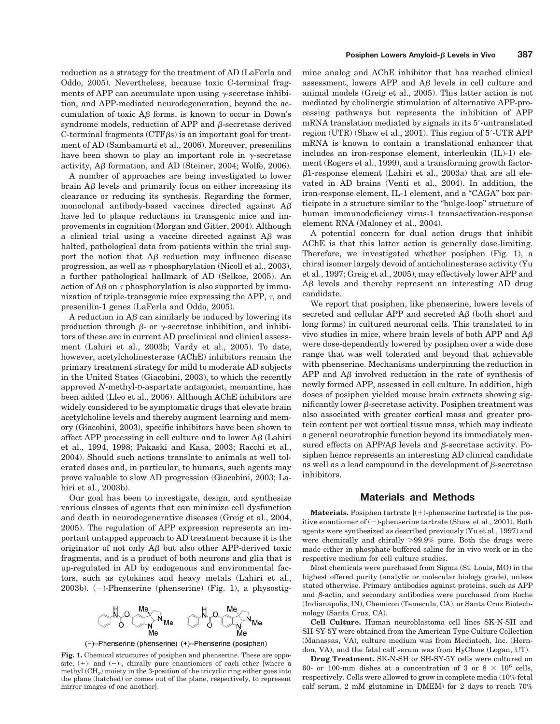reduction as a strategy for the treatment of AD (LaFerla and Oddo, 2005). Nevertheless, because toxic C-terminal fragments of APP can accumulate upon using  $\gamma$ -secretase inhibition, and APP-mediated neurodegeneration, beyond the accumulation of toxic  $\overrightarrow{AB}$  forms, is known to occur in Down's syndrome models, reduction of APP and  $\beta$ -secretase derived C-terminal fragments ( $CTF\beta s$ ) is an important goal for treatment of AD (Sambamurti et al., 2006). Moreover, presenilins have been shown to play an important role in  $\gamma$ -secretase activity,  $\mathbf{A}\beta$  formation, and  $\mathbf{A}\mathbf{D}$  (Steiner, 2004; Wolfe, 2006).

A number of approaches are being investigated to lower  $brain AB levels and primarily focus on either increasing its$ clearance or reducing its synthesis. Regarding the former, monoclonal antibody-based vaccines directed against  $A\beta$ have led to plaque reductions in transgenic mice and improvements in cognition (Morgan and Gitter, 2004). Although a clinical trial using a vaccine directed against  $A\beta$  was halted, pathological data from patients within the trial support the notion that  $\overrightarrow{AB}$  reduction may influence disease progression, as well as  $\tau$  phosphorylation (Nicoll et al., 2003), a further pathological hallmark of AD (Selkoe, 2005). An action of  $A\beta$  on  $\tau$  phosphorylation is also supported by immunization of triple-transgenic mice expressing the APP,  $\tau$ , and presenilin-1 genes (LaFerla and Oddo, 2005).

A reduction in  $A\beta$  can similarly be induced by lowering its production through  $\beta$ - or  $\gamma$ -secretase inhibition, and inhibitors of these are in current AD preclinical and clinical assessment (Lahiri et al., 2003b; Vardy et al., 2005). To date, however, acetylcholinesterase (AChE) inhibitors remain the primary treatment strategy for mild to moderate AD subjects in the United States (Giacobini, 2003), to which the recently approved *N*-methyl-D-aspartate antagonist, memantine, has been added (Lleo et al., 2006). Although AChE inhibitors are widely considered to be symptomatic drugs that elevate brain acetylcholine levels and thereby augment learning and memory (Giacobini, 2003), specific inhibitors have been shown to affect APP processing in cell culture and to lower  $A\beta$  (Lahiri et al., 1994, 1998; Pakaski and Kasa, 2003; Racchi et al., 2004). Should such actions translate to animals at well tolerated doses and, in particular, to humans, such agents may prove valuable to slow AD progression (Giacobini, 2003; Lahiri et al., 2003b).

Our goal has been to investigate, design, and synthesize various classes of agents that can minimize cell dysfunction and death in neurodegenerative diseases (Greig et al., 2004, 2005). The regulation of APP expression represents an important untapped approach to AD treatment because it is the originator of not only  $\overrightarrow{AB}$  but also other APP-derived toxic fragments, and is a product of both neurons and glia that is up-regulated in AD by endogenous and environmental factors, such as cytokines and heavy metals (Lahiri et al., 2003b).  $(-)$ -Phenserine (phenserine) (Fig. 1), a physostig-



**Fig. 1.** Chemical structures of posiphen and phenserine. These are opposite,  $(+)$ - and  $(-)$ -, chirally pure enantiomers of each other [where a methyl  $(CH<sub>3</sub>)$  moiety in the 3-position of the tricyclic ring either goes into the plane (hatched) or comes out of the plane, respectively, to represent mirror images of one another].

mine analog and AChE inhibitor that has reached clinical assessment, lowers APP and  $A\beta$  levels in cell culture and animal models (Greig et al., 2005). This latter action is not mediated by cholinergic stimulation of alternative APP-processing pathways but represents the inhibition of APP  $mRNA$  translation mediated by signals in its  $5'$ -untranslated region (UTR) (Shaw et al., 2001). This region of  $5'$ -UTR APP mRNA is known to contain a translational enhancer that includes an iron-response element, interleukin (IL)-1) element (Rogers et al., 1999), and a transforming growth factor-  $\beta$ 1-response element (Lahiri et al., 2003a) that are all elevated in AD brains (Venti et al., 2004). In addition, the iron-response element, IL-1 element, and a "CAGA" box participate in a structure similar to the "bulge-loop" structure of human immunodeficiency virus-1 transactivation-response element RNA (Maloney et al., 2004).

A potential concern for dual action drugs that inhibit AChE is that this latter action is generally dose-limiting. Therefore, we investigated whether posiphen (Fig. 1), a chiral isomer largely devoid of anticholinesterase activity (Yu et al., 1997; Greig et al., 2005), may effectively lower APP and  $\Delta\beta$  levels and thereby represent an interesting AD drug candidate.

We report that posiphen, like phenserine, lowers levels of secreted and cellular APP and secreted A<sub>B</sub> (both short and long forms) in cultured neuronal cells. This translated to in vivo studies in mice, where brain levels of both APP and  $A\beta$ were dose-dependently lowered by posiphen over a wide dose range that was well tolerated and beyond that achievable with phenserine. Mechanisms underpinning the reduction in APP and  $\overrightarrow{AB}$  involved reduction in the rate of synthesis of newly formed APP, assessed in cell culture. In addition, high doses of posiphen yielded mouse brain extracts showing significantly lower  $\beta$ -secretase activity. Posiphen treatment was also associated with greater cortical mass and greater protein content per wet cortical tissue mass, which may indicate a general neurotrophic function beyond its immediately measured effects on APP/A $\beta$  levels and  $\beta$ -secretase activity. Posiphen hence represents an interesting AD clinical candidate as well as a lead compound in the development of  $\beta$ -secretase inhibitors.

## **Materials and Methods**

**Materials.** Posiphen tartrate  $[(+)$ -phenserine tartrate] is the positive enantiomer of  $(-)$ -phenserine tartrate (Shaw et al., 2001). Both agents were synthesized as described previously (Yu et al., 1997) and were chemically and chirally  $>99.9\%$  pure. Both the drugs were made either in phosphate-buffered saline for in vivo work or in the respective medium for cell culture studies.

Most chemicals were purchased from Sigma (St. Louis, MO) in the highest offered purity (analytic or molecular biology grade), unless stated otherwise. Primary antibodies against proteins, such as APP and  $\beta$ -actin, and secondary antibodies were purchased from Roche (Indianapolis, IN), Chemicon (Temecula, CA), or Santa Cruz Biotechnology (Santa Cruz, CA).

**Cell Culture.** Human neuroblastoma cell lines SK-N-SH and SH-SY-5Y were obtained from the American Type Culture Collection (Manassas, VA), culture medium was from Mediatech, Inc. (Herndon, VA), and the fetal calf serum was from HyClone (Logan, UT).

**Drug Treatment.** SK-N-SH or SH-SY-5Y cells were cultured on 60- or 100-mm dishes at a concentration of 3 or  $8 \times 10^6$  cells, respectively. Cells were allowed to grow in complete media (10% fetal calf serum, 2 mM glutamine in DMEM) for 2 days to reach 70%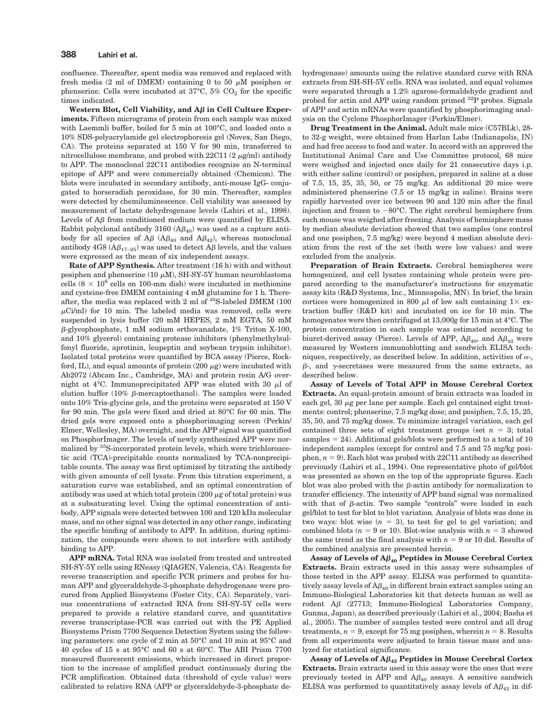confluence. Thereafter, spent media was removed and replaced with fresh media (2 ml of DMEM) containing 0 to 50  $\mu$ M posiphen or phenserine. Cells were incubated at  $37^{\circ}$ C,  $5\%$  CO<sub>2</sub> for the specific times indicated.

**Western Blot, Cell Viability, and A**! **in Cell Culture Experiments.** Fifteen micrograms of protein from each sample was mixed with Laemmli buffer, boiled for 5 min at 100°C, and loaded onto a 10% SDS-polyacrylamide gel electrophoresis gel (Novex, San Diego, CA). The proteins separated at 150 V for 90 min, transferred to nitrocellulose membrane, and probed with  $22C11(2 \mu g/ml)$  antibody to APP. The monoclonal 22C11 antibodies recognize an N-terminal epitope of APP and were commercially obtained (Chemicon). The blots were incubated in secondary antibody, anti-mouse IgG- conjugated to horseradish peroxidase, for 30 min. Thereafter, samples were detected by chemiluminescence. Cell viability was assessed by measurement of lactate dehydrogenase levels (Lahiri et al., 1998). Levels of  $A\beta$  from conditioned medium were quantified by ELISA. Rabbit polyclonal antibody 3160  $(A\beta_{40})$  was used as a capture antibody for all species of A $\beta$  (A $\beta_{40}$  and A $\beta_{42}$ ), whereas monoclonal antibody 4G8 ( $\mathbf{A}\beta_{17-25}$ ) was used to detect  $\mathbf{A}\beta$  levels, and the values were expressed as the mean of six independent assays.

**Rate of APP Synthesis.** After treatment (16 h) with and without posiphen and phenserine (10  $\mu$ M), SH-SY-5Y human neuroblastoma cells  $(8 \times 10^6$  cells on 100-mm dish) were incubated in methionine and cysteine-free DMEM containing 4 mM glutamine for 1 h. Thereafter, the media was replaced with 2 ml of 35S-labeled DMEM (100  $\mu$ Ci/ml) for 10 min. The labeled media was removed, cells were suspended in lysis buffer (20 mM HEPES, 2 mM EGTA, 50 mM  $\beta$ -glycophosphate, 1 mM sodium orthovanadate, 1% Triton X-100, and 10% glycerol) containing protease inhibitors (phenylmethylsulfonyl fluoride, aprotinin, leupeptin and soybean trypsin inhibitor). Isolated total proteins were quantified by BCA assay (Pierce, Rockford, IL), and equal amounts of protein (200  $\mu$ g) were incubated with Ab2072 (Abcam Inc., Cambridge, MA) and protein resin A/G overnight at 4°C. Immunoprecipitated APP was eluted with 30  $\mu$ l of elution buffer (10%  $\beta$ -mercaptoethanol). The samples were loaded onto 10% Tris-glycine gels, and the proteins were separated at 150 V for 90 min. The gels were fixed and dried at 80°C for 60 min. The dried gels were exposed onto a phosphorimaging screen (Perkin/ Elmer, Wellesley, MA) overnight, and the APP signal was quantified on PhosphorImager. The levels of newly synthesized APP were normalized by 35S-incorporated protein levels, which were trichloroacetic acid (TCA)-precipitable counts normalized by TCA-nonprecipitable counts. The assay was first optimized by titrating the antibody with given amounts of cell lysate. From this titration experiment, a saturation curve was established, and an optimal concentration of antibody was used at which total protein  $(200 \mu g)$  of total protein) was at a subsaturating level. Using the optimal concentration of antibody, APP signals were detected between 100 and 120 kDa molecular mass, and no other signal was detected in any other range, indicating the specific binding of antibody to APP. In addition, during optimization, the compounds were shown to not interfere with antibody binding to APP.

**APP mRNA.** Total RNA was isolated from treated and untreated SH-SY-5Y cells using RNeasy (QIAGEN, Valencia, CA). Reagents for reverse transcription and specific PCR primers and probes for human APP and glyceraldehyde-3-phosphate dehydrogenase were procured from Applied Biosystems (Foster City, CA). Separately, various concentrations of extracted RNA from SH-SY-5Y cells were prepared to provide a relative standard curve, and quantitative reverse transcriptase-PCR was carried out with the PE Applied Biosystems Prism 7700 Sequence Detection System using the following parameters: one cycle of 2 min at 50°C and 10 min at 95°C and 40 cycles of 15 s at 95°C and 60 s at 60°C. The ABI Prism 7700 measured fluorescent emissions, which increased in direct proportion to the increase of amplified product continuously during the PCR amplification. Obtained data (threshold of cycle value) were calibrated to relative RNA (APP or glyceraldehyde-3-phosphate dehydrogenase) amounts using the relative standard curve with RNA extracts from SH-SH-5Y cells. RNA was isolated, and equal volumes were separated through a 1.2% agarose-formaldehyde gradient and probed for actin and APP using random primed <sup>32</sup>P probes. Signals of APP and actin mRNAs were quantified by phosphorimaging analysis on the Cyclone PhosphorImager (Perkin/Elmer).

**Drug Treatment in the Animal.** Adult male mice (C57BLk), 28 to 32-g weight, were obtained from Harlan Labs (Indianapolis, IN) and had free access to food and water. In accord with an approved the Institutional Animal Care and Use Committee protocol, 68 mice were weighed and injected once daily for 21 consecutive days i.p. with either saline (control) or posiphen, prepared in saline at a dose of 7.5, 15, 25, 35, 50, or 75 mg/kg. An additional 20 mice were administered phenserine (7.5 or 15 mg/kg in saline). Brains were rapidly harvested over ice between 90 and 120 min after the final injection and frozen to  $-80^{\circ}$ C. The right cerebral hemisphere from each mouse was weighed after freezing. Analysis of hemisphere mass by median absolute deviation showed that two samples (one control and one posiphen, 7.5 mg/kg) were beyond 4 median absolute deviation from the rest of the set (both were low values) and were excluded from the analysis.

**Preparation of Brain Extracts.** Cerebral hemispheres were homogenized, and cell lysates containing whole protein were prepared according to the manufacturer's instructions for enzymatic assay kits (R&D Systems, Inc., Minneapolis, MN). In brief, the brain cortices were homogenized in 800  $\mu$ l of low salt containing 1 $\times$  extraction buffer (R&D kit) and incubated on ice for 10 min. The homogenates were then centrifuged at 13,000*g* for 15 min at 4°C. The protein concentration in each sample was estimated according to biuret-derived assay (Pierce). Levels of APP,  $A\beta_{40}$ , and  $A\beta_{42}$  were measured by Western immunoblotting and sandwich ELISA techniques, respectively, as described below. In addition, activities of  $\alpha$ -,  $\beta$ -, and  $\gamma$ -secretases were measured from the same extracts, as described below.

**Assay of Levels of Total APP in Mouse Cerebral Cortex Extracts.** An equal-protein amount of brain extracts was loaded in each gel,  $30 \mu g$  per lane per sample. Each gel contained eight treatments: control; phenserine, 7.5 mg/kg dose; and posiphen, 7.5, 15, 25, 35, 50, and 75 mg/kg doses. To minimize intragel variation, each gel contained three sets of eight treatment groups (set  $n = 3$ ; total samples  $= 24$ ). Additional gels/blots were performed to a total of 10 independent samples (except for control and 7.5 and 75 mg/kg posiphen,  $n = 9$ ). Each blot was probed with 22C11 antibody as described previously (Lahiri et al., 1994). One representative photo of gel/blot was presented as shown on the top of the appropriate figures. Each blot was also probed with the  $\beta$ -actin antibody for normalization to transfer efficiency. The intensity of APP band signal was normalized with that of  $\beta$ -actin. Two sample "controls" were loaded in each gel/blot to test for blot to blot variation. Analysis of blots was done in two ways: blot wise  $(n = 3)$ , to test for gel to gel variation; and combined blots  $(n = 9 \text{ or } 10)$ . Blot-wise analysis with  $n = 3$  showed the same trend as the final analysis with  $n = 9$  or 10 did. Results of the combined analysis are presented herein.

Assay of Levels of  $A\beta_{40}$  Peptides in Mouse Cerebral Cortex **Extracts.** Brain extracts used in this assay were subsamples of those tested in the APP assay. ELISA was performed to quantitatively assay levels of  $A\beta_{40}$  in different brain extract samples using an Immuno-Biological Laboratories kit that detects human as well as rodent A $\beta$  (27713; Immuno-Biological Laboratories Company, Gunma, Japan), as described previously (Lahiri et al., 2004; Basha et al., 2005). The number of samples tested were control and all drug treatments,  $n = 9$ , except for 75 mg posiphen, wherein  $n = 8$ . Results from all experiments were adjusted to brain tissue mass and analyzed for statistical significance.

Assay of Levels of  $A\beta_{42}$  Peptides in Mouse Cerebral Cortex **Extracts.** Brain extracts used in this assay were the ones that were previously tested in APP and  $A\beta_{40}$  assays. A sensitive sandwich ELISA was performed to quantitatively assay levels of  $A\beta_{42}$  in dif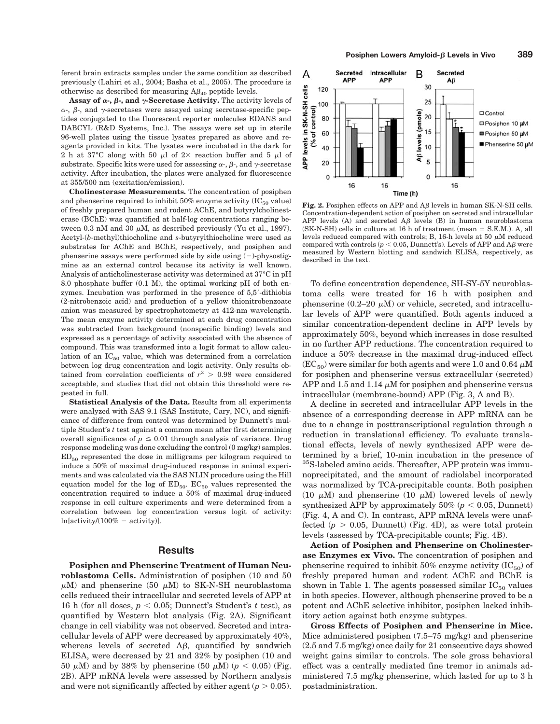ferent brain extracts samples under the same condition as described previously (Lahiri et al., 2004; Basha et al., 2005). The procedure is otherwise as described for measuring  $A\beta_{40}$  peptide levels.

**Assay of**  $\alpha$ **-,**  $\beta$ **-, and**  $\gamma$ **-Secretase Activity. The activity levels of**  $\alpha$ -,  $\beta$ -, and  $\gamma$ -secretases were assayed using secretase-specific peptides conjugated to the fluorescent reporter molecules EDANS and DABCYL (R&D Systems, Inc.). The assays were set up in sterile 96-well plates using the tissue lysates prepared as above and reagents provided in kits. The lysates were incubated in the dark for 2 h at 37°C along with 50  $\mu$ l of 2× reaction buffer and 5  $\mu$ l of substrate. Specific kits were used for assessing  $\alpha$ -,  $\beta$ -, and  $\gamma$ -secretase activity. After incubation, the plates were analyzed for fluorescence at 355/500 nm (excitation/emission).

**Cholinesterase Measurements.** The concentration of posiphen and phenserine required to inhibit  $50\%$  enzyme activity (IC $_{50}$  value) of freshly prepared human and rodent AChE, and butyrylcholinesterase (BChE) was quantified at half-log concentrations ranging between 0.3 nM and 30  $\mu$ M, as described previously (Yu et al., 1997). Acetyl-(*b*-methyl)thiocholine and *s*-butyrylthiocholine were used as substrates for AChE and BChE, respectively, and posiphen and phenserine assays were performed side by side using  $(-)$ -physostigmine as an external control because its activity is well known. Analysis of anticholinesterase activity was determined at 37°C in pH 8.0 phosphate buffer (0.1 M), the optimal working pH of both enzymes. Incubation was performed in the presence of  $5.5'$ -dithiobis (2-nitrobenzoic acid) and production of a yellow thionitrobenzoate anion was measured by spectrophotometry at 412-nm wavelength. The mean enzyme activity determined at each drug concentration was subtracted from background (nonspecific binding) levels and expressed as a percentage of activity associated with the absence of compound. This was transformed into a logit format to allow calculation of an  $IC_{50}$  value, which was determined from a correlation between log drug concentration and logit activity. Only results obtained from correlation coefficients of  $r^2 > 0.98$  were considered acceptable, and studies that did not obtain this threshold were repeated in full.

**Statistical Analysis of the Data.** Results from all experiments were analyzed with SAS 9.1 (SAS Institute, Cary, NC), and significance of difference from control was determined by Dunnett's multiple Student's *t* test against a common mean after first determining overall significance of  $p \leq 0.01$  through analysis of variance. Drug response modeling was done excluding the control (0 mg/kg) samples.  $ED<sub>50</sub>$  represented the dose in milligrams per kilogram required to induce a 50% of maximal drug-induced response in animal experiments and was calculated via the SAS NLIN procedure using the Hill equation model for the log of  $ED_{50}$ .  $EC_{50}$  values represented the concentration required to induce a 50% of maximal drug-induced response in cell culture experiments and were determined from a correlation between log concentration versus logit of activity:  $ln[activity/(100\% - activity)].$ 

## **Results**

**Posiphen and Phenserine Treatment of Human Neuroblastoma Cells.** Administration of posiphen (10 and 50  $\mu$ M) and phenserine (50  $\mu$ M) to SK-N-SH neuroblastoma cells reduced their intracellular and secreted levels of APP at 16 h (for all doses,  $p < 0.05$ ; Dunnett's Student's  $t$  test), as quantified by Western blot analysis (Fig. 2A). Significant change in cell viability was not observed. Secreted and intracellular levels of APP were decreased by approximately 40%, whereas levels of secreted  $\Delta\beta$ , quantified by sandwich ELISA, were decreased by 21 and 32% by posiphen (10 and 50  $\mu$ M) and by 38% by phenserine (50  $\mu$ M) ( $p < 0.05$ ) (Fig. 2B). APP mRNA levels were assessed by Northern analysis and were not significantly affected by either agent  $(p > 0.05)$ .



**Fig. 2.** Posiphen effects on APP and  $\mathbf{A}\beta$  levels in human SK-N-SH cells. Concentration-dependent action of posiphen on secreted and intracellular APP levels (A) and secreted  $A\beta$  levels (B) in human neuroblastoma  $(SK-N-SH)$  cells in culture at 16 h of treatment (mean  $\pm$  S.E.M.). A, all levels reduced compared with controls; B, 16-h levels at 50  $\mu$ M reduced compared with controls  $(p < 0.05$ . Dunnett's). Levels of APP and AB were measured by Western blotting and sandwich ELISA, respectively, as described in the text.

To define concentration dependence, SH-SY-5Y neuroblastoma cells were treated for 16 h with posiphen and phenserine  $(0.2-20 \mu M)$  or vehicle, secreted, and intracellular levels of APP were quantified. Both agents induced a similar concentration-dependent decline in APP levels by approximately 50%, beyond which increases in dose resulted in no further APP reductions. The concentration required to induce a 50% decrease in the maximal drug-induced effect  $(EC_{50})$  were similar for both agents and were 1.0 and 0.64  $\mu$ M for posiphen and phenserine versus extracellular (secreted) APP and 1.5 and 1.14  $\mu$ M for posiphen and phenserine versus intracellular (membrane-bound) APP (Fig. 3, A and B).

A decline in secreted and intracellular APP levels in the absence of a corresponding decrease in APP mRNA can be due to a change in posttranscriptional regulation through a reduction in translational efficiency. To evaluate translational effects, levels of newly synthesized APP were determined by a brief, 10-min incubation in the presence of <sup>35</sup>S-labeled amino acids. Thereafter, APP protein was immunoprecipitated, and the amount of radiolabel incorporated was normalized by TCA-precipitable counts. Both posiphen (10  $\mu$ M) and phenserine (10  $\mu$ M) lowered levels of newly synthesized APP by approximately  $50\%$  ( $p < 0.05$ , Dunnett) (Fig. 4, A and C). In contrast, APP mRNA levels were unaffected  $(p > 0.05,$  Dunnett) (Fig. 4D), as were total protein levels (assessed by TCA-precipitable counts; Fig. 4B).

**Action of Posiphen and Phenserine on Cholinesterase Enzymes ex Vivo.** The concentration of posiphen and phenserine required to inhibit 50% enzyme activity  $(IC_{50})$  of freshly prepared human and rodent AChE and BChE is shown in Table 1. The agents possessed similar  $IC_{50}$  values in both species. However, although phenserine proved to be a potent and AChE selective inhibitor, posiphen lacked inhibitory action against both enzyme subtypes.

**Gross Effects of Posiphen and Phenserine in Mice.** Mice administered posiphen (7.5–75 mg/kg) and phenserine (2.5 and 7.5 mg/kg) once daily for 21 consecutive days showed weight gains similar to controls. The sole gross behavioral effect was a centrally mediated fine tremor in animals administered 7.5 mg/kg phenserine, which lasted for up to 3 h postadministration.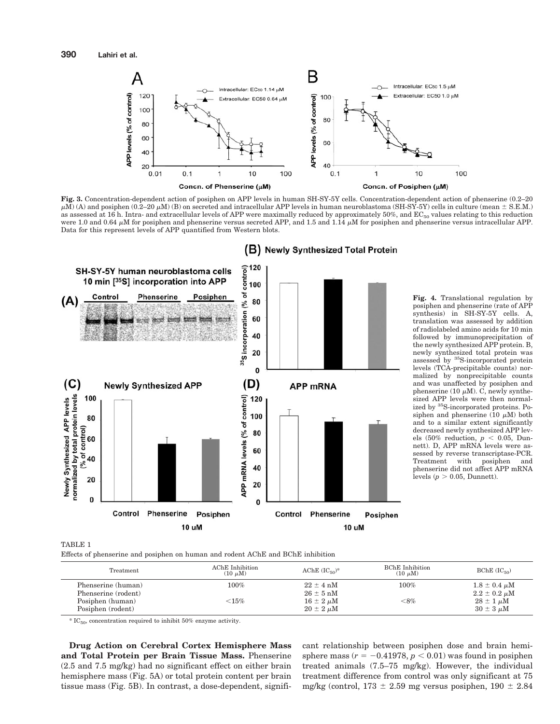

**Fig. 3.** Concentration-dependent action of posiphen on APP levels in human SH-SY-5Y cells. Concentration-dependent action of phenserine (0.2–20  $\mu$ M) (A) and posiphen (0.2–20  $\mu$ M) (B) on secreted and intracellular APP levels in human neuroblastoma (SH-SY-5Y) cells in culture (mean  $\pm$  S.E.M.) as assessed at 16 h. Intra- and extracellular levels of APP were maximally reduced by approximately 50%, and  $EC_{50}$  values relating to this reduction were 1.0 and 0.64  $\mu$ M for posiphen and phenserine versus secreted APP, and 1.5 and 1.14  $\mu$ M for posiphen and phenserine versus intracellular APP. Data for this represent levels of APP quantified from Western blots.



**Fig. 4.** Translational regulation by posiphen and phenserine (rate of APP synthesis) in SH-SY-5Y cells. A, translation was assessed by addition of radiolabeled amino acids for 10 min followed by immunoprecipitation of the newly synthesized APP protein. B, newly synthesized total protein was assessed by 35S-incorporated protein levels (TCA-precipitable counts) normalized by nonprecipitable counts and was unaffected by posiphen and phenserine (10  $\mu$ M). C, newly synthesized APP levels were then normalized by 35S-incorporated proteins. Posiphen and phenserine (10  $\mu$ M) both and to a similar extent significantly decreased newly synthesized APP levels  $(50\% \text{ reduction}, p < 0.05, \text{ Dun-}$ nett). D, APP mRNA levels were assessed by reverse transcriptase-PCR.<br>Treatment with posiphen and Treatment with posiphen phenserine did not affect APP mRNA levels  $(p > 0.05,$  Dunnett).

TABLE 1

Effects of phenserine and posiphen on human and rodent AChE and BChE inhibition

| Treatment                                 | AChE Inhibition<br>$(10 \mu M)$ | AChE $(IC_{50})^*$                     | <b>BChE</b> Inhibition<br>$(10 \mu M)$ | $BChE$ ( $IC_{50}$ )                       |
|-------------------------------------------|---------------------------------|----------------------------------------|----------------------------------------|--------------------------------------------|
| Phenserine (human)<br>Phenserine (rodent) | $100\%$                         | $22 \pm 4$ nM<br>$26 \pm 5$ nM         | $100\%$                                | $1.8 \pm 0.4 \mu M$<br>$2.2 \pm 0.2 \mu M$ |
| Posiphen (human)<br>Posiphen (rodent)     | ${<}15\%$                       | $16 \pm 2 \ \mu M$<br>$20 \pm 2 \mu M$ | $<\!\!8\%$                             | $28 \pm 1 \mu M$<br>$30 \pm 3 \mu M$       |

 $*$  IC<sub>50</sub>, concentration required to inhibit 50% enzyme activity.

**Drug Action on Cerebral Cortex Hemisphere Mass and Total Protein per Brain Tissue Mass.** Phenserine (2.5 and 7.5 mg/kg) had no significant effect on either brain hemisphere mass (Fig. 5A) or total protein content per brain tissue mass (Fig. 5B). In contrast, a dose-dependent, significant relationship between posiphen dose and brain hemisphere mass  $(r = -0.41978, p < 0.01)$  was found in posiphen treated animals (7.5–75 mg/kg). However, the individual treatment difference from control was only significant at 75 mg/kg (control,  $173 \pm 2.59$  mg versus posiphen,  $190 \pm 2.84$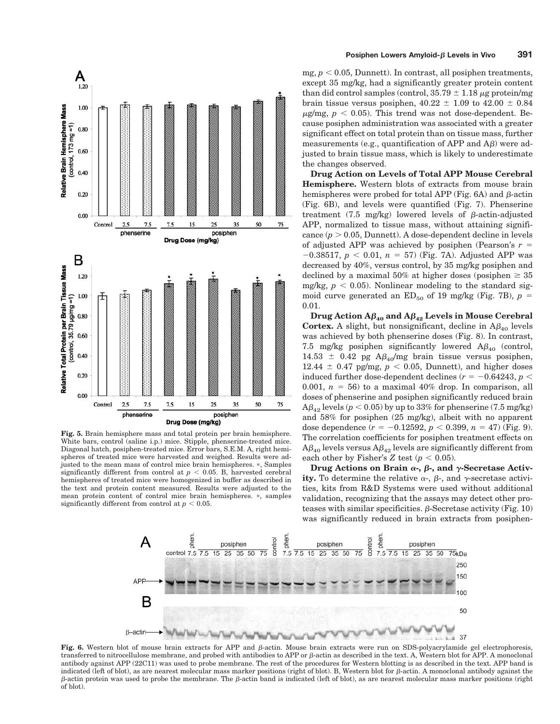

**Fig. 5.** Brain hemisphere mass and total protein per brain hemisphere. White bars, control (saline i.p.) mice. Stipple, phenserine-treated mice. Diagonal hatch, posiphen-treated mice. Error bars, S.E.M. A, right hemispheres of treated mice were harvested and weighed. Results were adjusted to the mean mass of control mice brain hemispheres. \*, Samples significantly different from control at  $p < 0.05$ . B, harvested cerebral hemispheres of treated mice were homogenized in buffer as described in the text and protein content measured. Results were adjusted to the mean protein content of control mice brain hemispheres. \*, samples significantly different from control at  $p < 0.05$ .

mg,  $p < 0.05$ , Dunnett). In contrast, all posiphen treatments, except 35 mg/kg, had a significantly greater protein content than did control samples (control,  $35.79 \pm 1.18 \,\mu$ g protein/mg brain tissue versus posiphen,  $40.22 \pm 1.09$  to  $42.00 \pm 0.84$  $\mu$ g/mg,  $p < 0.05$ ). This trend was not dose-dependent. Because posiphen administration was associated with a greater significant effect on total protein than on tissue mass, further measurements (e.g., quantification of APP and  $\mathbf{A}\boldsymbol{\beta}$ ) were adjusted to brain tissue mass, which is likely to underestimate the changes observed.

**Drug Action on Levels of Total APP Mouse Cerebral Hemisphere.** Western blots of extracts from mouse brain hemispheres were probed for total APP (Fig. 6A) and  $\beta$ -actin (Fig. 6B), and levels were quantified (Fig. 7). Phenserine treatment (7.5 mg/kg) lowered levels of  $\beta$ -actin-adjusted APP, normalized to tissue mass, without attaining significance  $(p > 0.05,$  Dunnett). A dose-dependent decline in levels of adjusted APP was achieved by posiphen (Pearson's  $r =$  $-0.38517$ ,  $p < 0.01$ ,  $n = 57$ ) (Fig. 7A). Adjusted APP was decreased by 40%, versus control, by 35 mg/kg posiphen and declined by a maximal 50% at higher doses (posiphen  $\geq 35$ ) mg/kg,  $p < 0.05$ ). Nonlinear modeling to the standard sigmoid curve generated an  $ED_{50}$  of 19 mg/kg (Fig. 7B),  $p =$ 0.01.

**Drug** Action  $A\beta_{40}$  and  $A\beta_{42}$  Levels in Mouse Cerebral **Cortex.** A slight, but nonsignificant, decline in  $A\beta_{40}$  levels was achieved by both phenserine doses (Fig. 8). In contrast, 7.5 mg/kg posiphen significantly lowered  $A\beta_{40}$  (control, 14.53  $\pm$  0.42 pg A $\beta_{40}$ /mg brain tissue versus posiphen,  $12.44 \pm 0.47$  pg/mg,  $p < 0.05$ , Dunnett), and higher doses induced further dose-dependent declines ( $r = -0.64243$ ,  $p <$ 0.001,  $n = 56$ ) to a maximal 40% drop. In comparison, all doses of phenserine and posiphen significantly reduced brain  $A\beta_{42}$  levels ( $p < 0.05$ ) by up to 33% for phenserine (7.5 mg/kg) and 58% for posiphen (25 mg/kg), albeit with no apparent dose dependence  $(r = -0.12592, p < 0.399, n = 47)$  (Fig. 9). The correlation coefficients for posiphen treatment effects on  $A\beta_{40}$  levels versus  $A\beta_{42}$  levels are significantly different from each other by Fisher's  $Z$  test ( $p < 0.05$ ).

**Drug** Actions on Brain  $\alpha$ -,  $\beta$ -, and  $\gamma$ -Secretase Activity. To determine the relative  $\alpha$ -,  $\beta$ -, and  $\gamma$ -secretase activities, kits from R&D Systems were used without additional validation, recognizing that the assays may detect other proteases with similar specificities.  $\beta$ -Secretase activity (Fig. 10) was significantly reduced in brain extracts from posiphen-



Fig. 6. Western blot of mouse brain extracts for APP and  $\beta$ -actin. Mouse brain extracts were run on SDS-polyacrylamide gel electrophoresis, transferred to nitrocellulose membrane, and probed with antibodies to APP or  $\beta$ -actin as described in the text. A, Western blot for APP. A monoclonal antibody against APP (22C11) was used to probe membrane. The rest of the procedures for Western blotting is as described in the text. APP band is indicated (left of blot), as are nearest molecular mass marker positions (right of blot). B, Western blot for  $\beta$ -actin. A monoclonal antibody against the  $\beta$ -actin protein was used to probe the membrane. The  $\beta$ -actin band is indicated (left of blot), as are nearest molecular mass marker positions (right of blot).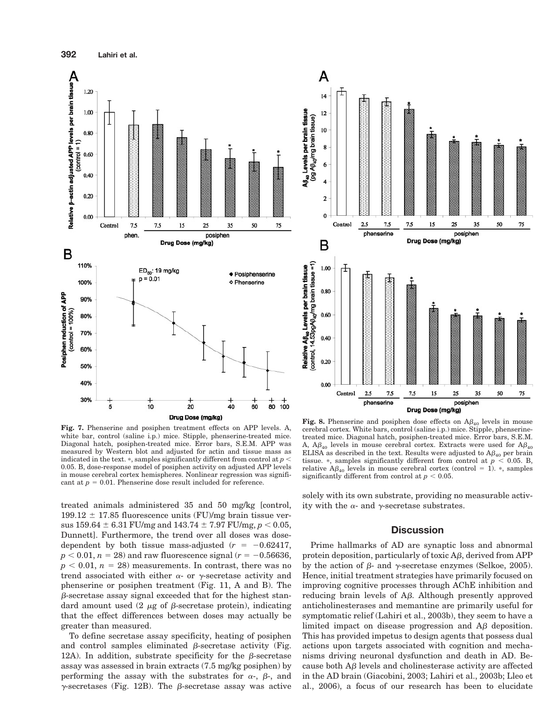

**Fig. 7.** Phenserine and posiphen treatment effects on APP levels. A, white bar, control (saline i.p.) mice. Stipple, phenserine-treated mice. Diagonal hatch, posiphen-treated mice. Error bars, S.E.M. APP was measured by Western blot and adjusted for actin and tissue mass as indicated in the text.  $\ast$ , samples significantly different from control at  $p \leq$ 0.05. B, dose-response model of posiphen activity on adjusted APP levels in mouse cerebral cortex hemispheres. Nonlinear regression was significant at  $p = 0.01$ . Phenserine dose result included for reference.

treated animals administered 35 and 50 mg/kg [control,  $199.12 \pm 17.85$  fluorescence units (FU)/mg brain tissue versus  $159.64 \pm 6.31$  FU/mg and  $143.74 \pm 7.97$  FU/mg,  $p < 0.05$ , Dunnett]. Furthermore, the trend over all doses was dosedependent by both tissue mass-adjusted  $(r = -0.62417,$  $p < 0.01$ ,  $n = 28$ ) and raw fluorescence signal ( $r = -0.56636$ ,  $p < 0.01$ ,  $n = 28$ ) measurements. In contrast, there was no trend associated with either  $\alpha$ - or  $\gamma$ -secretase activity and phenserine or posiphen treatment (Fig. 11, A and B). The  $\beta$ -secretase assay signal exceeded that for the highest standard amount used  $(2 \mu \text{g of } \beta\text{-secretase protein})$ , indicating that the effect differences between doses may actually be greater than measured.

To define secretase assay specificity, heating of posiphen and control samples eliminated  $\beta$ -secretase activity (Fig. 12A). In addition, substrate specificity for the  $\beta$ -secretase assay was assessed in brain extracts (7.5 mg/kg posiphen) by performing the assay with the substrates for  $\alpha$ -,  $\beta$ -, and  $\gamma$ -secretases (Fig. 12B). The  $\beta$ -secretase assay was active



**Fig. 8.** Phenserine and posiphen dose effects on  $A\beta_{40}$  levels in mouse cerebral cortex. White bars, control (saline i.p.) mice. Stipple, phenserinetreated mice. Diagonal hatch, posiphen-treated mice. Error bars, S.E.M. A,  $A\beta_{40}$  levels in mouse cerebral cortex. Extracts were used for  $A\beta_{40}$ ELISA as described in the text. Results were adjusted to  $A\beta_{40}$  per brain tissue. \*, samples significantly different from control at  $p < 0.05$ . B, relative  $A\beta_{40}$  levels in mouse cerebral cortex (control = 1). \*, samples significantly different from control at  $p < 0.05$ .

solely with its own substrate, providing no measurable activity with the  $\alpha$ - and  $\gamma$ -secretase substrates.

## **Discussion**

Prime hallmarks of AD are synaptic loss and abnormal protein deposition, particularly of toxic  $\mathbf{A}\boldsymbol{\beta}$ , derived from APP by the action of  $\beta$ - and  $\gamma$ -secretase enzymes (Selkoe, 2005). Hence, initial treatment strategies have primarily focused on improving cognitive processes through AChE inhibition and reducing brain levels of  $\Delta\beta$ . Although presently approved anticholinesterases and memantine are primarily useful for symptomatic relief (Lahiri et al., 2003b), they seem to have a limited impact on disease progression and  $\Delta\beta$  deposition. This has provided impetus to design agents that possess dual actions upon targets associated with cognition and mechanisms driving neuronal dysfunction and death in AD. Because both  $\overline{AB}$  levels and cholinesterase activity are affected in the AD brain (Giacobini, 2003; Lahiri et al., 2003b; Lleo et al., 2006), a focus of our research has been to elucidate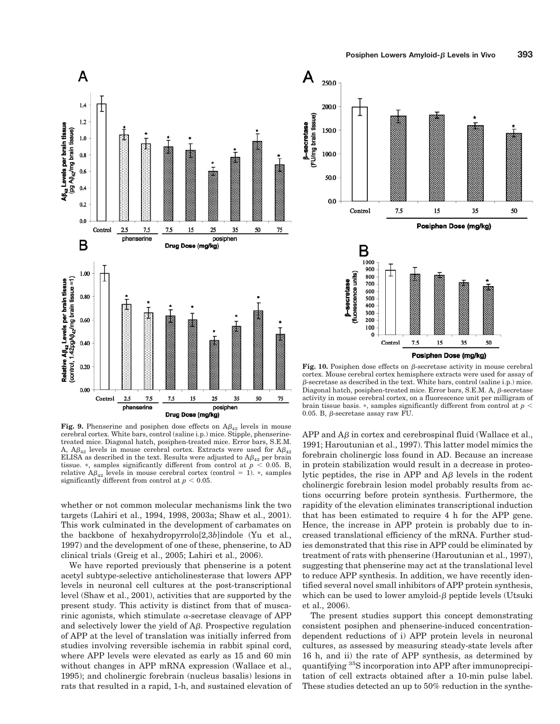

**Fig. 9.** Phenserine and posiphen dose effects on  $A\beta_{42}$  levels in mouse cerebral cortex. White bars, control (saline i.p.) mice. Stipple, phenserinetreated mice. Diagonal hatch, posiphen-treated mice. Error bars, S.E.M. A,  $A\beta_{42}$  levels in mouse cerebral cortex. Extracts were used for  $A\beta_{42}$ ELISA as described in the text. Results were adjusted to  $A\beta_{42}$  per brain tissue. \*, samples significantly different from control at  $p < 0.05$ . B, relative  $A\beta_{42}$  levels in mouse cerebral cortex (control = 1). \*, samples significantly different from control at  $p < 0.05$ .

whether or not common molecular mechanisms link the two targets (Lahiri et al., 1994, 1998, 2003a; Shaw et al., 2001). This work culminated in the development of carbamates on the backbone of hexahydropyrrolo[2,3*b*]indole (Yu et al., 1997) and the development of one of these, phenserine, to AD clinical trials (Greig et al., 2005; Lahiri et al., 2006).

We have reported previously that phenserine is a potent acetyl subtype-selective anticholinesterase that lowers APP levels in neuronal cell cultures at the post-transcriptional level (Shaw et al., 2001), activities that are supported by the present study. This activity is distinct from that of muscarinic agonists, which stimulate  $\alpha$ -secretase cleavage of APP and selectively lower the yield of  $A\beta$ . Prospective regulation of APP at the level of translation was initially inferred from studies involving reversible ischemia in rabbit spinal cord, where APP levels were elevated as early as 15 and 60 min without changes in APP mRNA expression (Wallace et al., 1995); and cholinergic forebrain (nucleus basalis) lesions in rats that resulted in a rapid, 1-h, and sustained elevation of



**Fig. 10.** Posiphen dose effects on  $\beta$ -secretase activity in mouse cerebral cortex. Mouse cerebral cortex hemisphere extracts were used for assay of  $\beta$ -secretase as described in the text. White bars, control (saline i.p.) mice. Diagonal hatch, posiphen-treated mice. Error bars, S.E.M. A,  $\beta$ -secretase activity in mouse cerebral cortex, on a fluorescence unit per milligram of brain tissue basis.  $*$ , samples significantly different from control at  $p <$ 0.05. B,  $\beta$ -secretase assay raw FU.

 $APP$  and  $AG$  in cortex and cerebrospinal fluid (Wallace et al., 1991; Haroutunian et al., 1997). This latter model mimics the forebrain cholinergic loss found in AD. Because an increase in protein stabilization would result in a decrease in proteolytic peptides, the rise in APP and  $\Delta \beta$  levels in the rodent cholinergic forebrain lesion model probably results from actions occurring before protein synthesis. Furthermore, the rapidity of the elevation eliminates transcriptional induction that has been estimated to require 4 h for the APP gene. Hence, the increase in APP protein is probably due to increased translational efficiency of the mRNA. Further studies demonstrated that this rise in APP could be eliminated by treatment of rats with phenserine (Haroutunian et al., 1997), suggesting that phenserine may act at the translational level to reduce APP synthesis. In addition, we have recently identified several novel small inhibitors of APP protein synthesis, which can be used to lower amyloid- $\beta$  peptide levels (Utsuki et al., 2006).

The present studies support this concept demonstrating consistent posiphen and phenserine-induced concentrationdependent reductions of i) APP protein levels in neuronal cultures, as assessed by measuring steady-state levels after 16 h, and ii) the rate of APP synthesis, as determined by quantifying 35S incorporation into APP after immunoprecipitation of cell extracts obtained after a 10-min pulse label. These studies detected an up to 50% reduction in the synthe-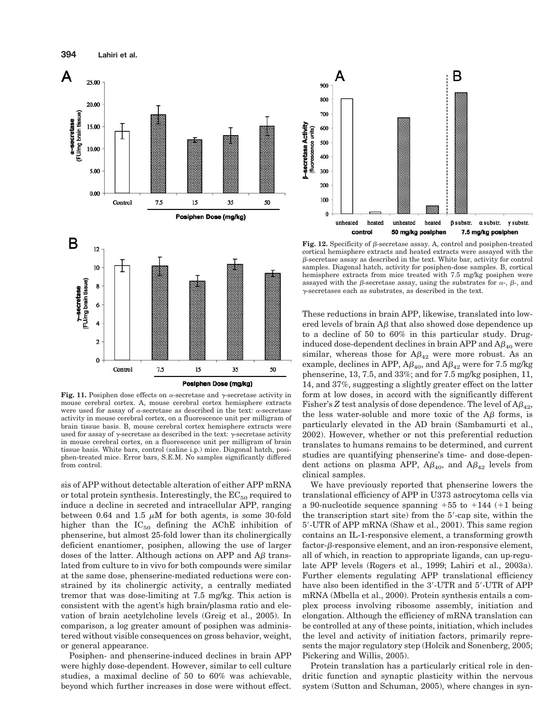

**Fig. 11.** Posiphen dose effects on  $\alpha$ -secretase and  $\gamma$ -secretase activity in mouse cerebral cortex. A, mouse cerebral cortex hemisphere extracts were used for assay of  $\alpha$ -secretase as described in the text:  $\alpha$ -secretase activity in mouse cerebral cortex, on a fluorescence unit per milligram of brain tissue basis. B, mouse cerebral cortex hemisphere extracts were used for assay of  $\gamma$ -secretase as described in the text:  $\gamma$ -secretase activity in mouse cerebral cortex, on a fluorescence unit per milligram of brain tissue basis. White bars, control (saline i.p.) mice. Diagonal hatch, posiphen-treated mice. Error bars, S.E.M. No samples significantly differed from control.

sis of APP without detectable alteration of either APP mRNA or total protein synthesis. Interestingly, the  $EC_{50}$  required to induce a decline in secreted and intracellular APP, ranging between 0.64 and 1.5  $\mu$ M for both agents, is some 30-fold higher than the  $IC_{50}$  defining the AChE inhibition of phenserine, but almost 25-fold lower than its cholinergically deficient enantiomer, posiphen, allowing the use of larger doses of the latter. Although actions on APP and  $\overline{AB}$  translated from culture to in vivo for both compounds were similar at the same dose, phenserine-mediated reductions were constrained by its cholinergic activity, a centrally mediated tremor that was dose-limiting at 7.5 mg/kg. This action is consistent with the agent's high brain/plasma ratio and elevation of brain acetylcholine levels (Greig et al., 2005). In comparison, a log greater amount of posiphen was administered without visible consequences on gross behavior, weight, or general appearance.

Posiphen- and phenserine-induced declines in brain APP were highly dose-dependent. However, similar to cell culture studies, a maximal decline of 50 to 60% was achievable, beyond which further increases in dose were without effect.



**Fig. 12.** Specificity of  $\beta$ -secretase assay. A, control and posiphen-treated cortical hemisphere extracts and heated extracts were assayed with the  $\beta$ -secretase assay as described in the text. White bar, activity for control samples. Diagonal hatch, activity for posiphen-dose samples. B, cortical hemisphere extracts from mice treated with 7.5 mg/kg posiphen were assayed with the  $\beta$ -secretase assay, using the substrates for  $\alpha$ -,  $\beta$ -, and  $\gamma$ -secretases each as substrates, as described in the text.

These reductions in brain APP, likewise, translated into lowered levels of brain  $\mathbf{A}\boldsymbol{\beta}$  that also showed dose dependence up to a decline of 50 to 60% in this particular study. Druginduced dose-dependent declines in brain APP and  $A\beta_{40}$  were similar, whereas those for  $A\beta_{42}$  were more robust. As an example, declines in APP,  $A\beta_{40}$ , and  $A\beta_{42}$  were for 7.5 mg/kg phenserine, 13, 7.5, and 33%; and for 7.5 mg/kg posiphen, 11, 14, and 37%, suggesting a slightly greater effect on the latter form at low doses, in accord with the significantly different Fisher's Z test analysis of dose dependence. The level of  $A\beta_{42}$ , the less water-soluble and more toxic of the  $\mathbf{A}\boldsymbol{\beta}$  forms, is particularly elevated in the AD brain (Sambamurti et al., 2002). However, whether or not this preferential reduction translates to humans remains to be determined, and current studies are quantifying phenserine's time- and dose-dependent actions on plasma APP,  $A\beta_{40}$ , and  $A\beta_{42}$  levels from clinical samples.

We have previously reported that phenserine lowers the translational efficiency of APP in U373 astrocytoma cells via a 90-nucleotide sequence spanning  $+55$  to  $+144$  ( $+1$  being the transcription start site) from the  $5'$ -cap site, within the 5'-UTR of APP mRNA (Shaw et al., 2001). This same region contains an IL-1-responsive element, a transforming growth  $factor$ - $\beta$ -responsive element, and an iron-responsive element, all of which, in reaction to appropriate ligands, can up-regulate APP levels (Rogers et al., 1999; Lahiri et al., 2003a). Further elements regulating APP translational efficiency have also been identified in the 3'-UTR and 5'-UTR of APP mRNA (Mbella et al., 2000). Protein synthesis entails a complex process involving ribosome assembly, initiation and elongation. Although the efficiency of mRNA translation can be controlled at any of these points, initiation, which includes the level and activity of initiation factors, primarily represents the major regulatory step (Holcik and Sonenberg, 2005; Pickering and Willis, 2005).

Protein translation has a particularly critical role in dendritic function and synaptic plasticity within the nervous system (Sutton and Schuman, 2005), where changes in syn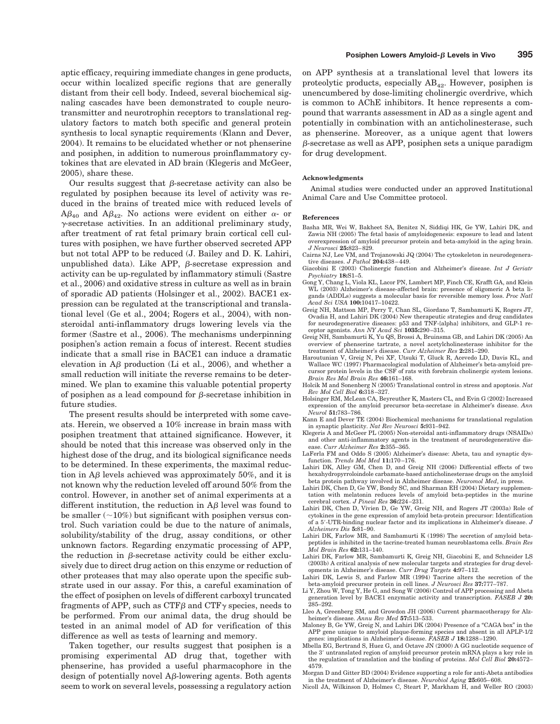aptic efficacy, requiring immediate changes in gene products, occur within localized specific regions that are generally distant from their cell body. Indeed, several biochemical signaling cascades have been demonstrated to couple neurotransmitter and neurotrophin receptors to translational regulatory factors to match both specific and general protein synthesis to local synaptic requirements (Klann and Dever, 2004). It remains to be elucidated whether or not phenserine and posiphen, in addition to numerous proinflammatory cytokines that are elevated in AD brain (Klegeris and McGeer, 2005), share these.

Our results suggest that  $\beta$ -secretase activity can also be regulated by posiphen because its level of activity was reduced in the brains of treated mice with reduced levels of  $A\beta_{40}$  and  $A\beta_{42}$ . No actions were evident on either  $\alpha$ - or  $\gamma$ -secretase activities. In an additional preliminary study, after treatment of rat fetal primary brain cortical cell cultures with posiphen, we have further observed secreted APP but not total APP to be reduced (J. Bailey and D. K. Lahiri, unpublished data). Like APP,  $\beta$ -secretase expression and activity can be up-regulated by inflammatory stimuli (Sastre et al., 2006) and oxidative stress in culture as well as in brain of sporadic AD patients (Holsinger et al., 2002). BACE1 expression can be regulated at the transcriptional and translational level (Ge et al., 2004; Rogers et al., 2004), with nonsteroidal anti-inflammatory drugs lowering levels via the former (Sastre et al., 2006). The mechanisms underpinning posiphen's action remain a focus of interest. Recent studies indicate that a small rise in BACE1 can induce a dramatic elevation in  $\overline{AB}$  production (Li et al., 2006), and whether a small reduction will initiate the reverse remains to be determined. We plan to examine this valuable potential property of posiphen as a lead compound for  $\beta$ -secretase inhibition in future studies.

The present results should be interpreted with some caveats. Herein, we observed a 10% increase in brain mass with posiphen treatment that attained significance. However, it should be noted that this increase was observed only in the highest dose of the drug, and its biological significance needs to be determined. In these experiments, the maximal reduction in  $\Delta\beta$  levels achieved was approximately 50%, and it is not known why the reduction leveled off around 50% from the control. However, in another set of animal experiments at a different institution, the reduction in  $A\beta$  level was found to be smaller  $(\sim 10\%)$  but significant with posiphen versus control. Such variation could be due to the nature of animals, solubility/stability of the drug, assay conditions, or other unknown factors. Regarding enzymatic processing of APP, the reduction in  $\beta$ -secretase activity could be either exclusively due to direct drug action on this enzyme or reduction of other proteases that may also operate upon the specific substrate used in our assay. For this, a careful examination of the effect of posiphen on levels of different carboxyl truncated fragments of APP, such as CTF $\beta$  and CTF $\gamma$  species, needs to be performed. From our animal data, the drug should be tested in an animal model of AD for verification of this difference as well as tests of learning and memory.

Taken together, our results suggest that posiphen is a promising experimental AD drug that, together with phenserine, has provided a useful pharmacophore in the design of potentially novel  $\mathbf{A}\boldsymbol{\beta}$ -lowering agents. Both agents seem to work on several levels, possessing a regulatory action

on APP synthesis at a translational level that lowers its proteolytic products, especially  $AB_{42}$ . However, posiphen is unencumbered by dose-limiting cholinergic overdrive, which is common to AChE inhibitors. It hence represents a compound that warrants assessment in AD as a single agent and potentially in combination with an anticholinesterase, such as phenserine. Moreover, as a unique agent that lowers  $\beta$ -secretase as well as APP, posiphen sets a unique paradigm for drug development.

#### **Acknowledgments**

Animal studies were conducted under an approved Institutional Animal Care and Use Committee protocol.

#### **References**

- Basha MR, Wei W, Bakheet SA, Benitez N, Siddiqi HK, Ge YW, Lahiri DK, and Zawia NH (2005) The fetal basis of amyloidogenesis: exposure to lead and latent overexpression of amyloid precursor protein and beta-amyloid in the aging brain. *J Neurosci* **25:**823–829.
- Cairns NJ, Lee VM, and Trojanowski JQ (2004) The cytoskeleton in neurodegenerative diseases. *J Pathol* **204:**438–449.
- Giacobini E (2003) Cholinergic function and Alzheimer's disease. *Int J Geriatr Psychiatry* **18:**S1–5.
- Gong Y, Chang L, Viola KL, Lacor PN, Lambert MP, Finch CE, Krafft GA, and Klein WL (2003) Alzheimer's disease-affected brain: presence of oligomeric A beta ligands (ADDLs) suggests a molecular basis for reversible memory loss. *Proc Natl Acad Sci USA* **100:**10417–10422.
- Greig NH, Mattson MP, Perry T, Chan SL, Giordano T, Sambamurti K, Rogers JT, Ovadia H, and Lahiri DK (2004) New therapeutic strategies and drug candidates for neurodegenerative diseases: p53 and TNF-{alpha} inhibitors, and GLP-1 receptor agonists. *Ann NY Acad Sci* **1035:**290–315.
- Greig NH, Sambamurti K, Yu QS, Brossi A, Bruinsma GB, and Lahiri DK (2005) An overview of phenserine tartrate, a novel acetylcholinesterase inhibitor for the treatment of Alzheimer's disease. *Curr Alzheimer Res* **2:**281–290.
- Haroutunian V, Greig N, Pei XF, Utsuki T, Gluck R, Acevedo LD, Davis KL, and Wallace WC (1997) Pharmacological modulation of Alzheimer's beta-amyloid precursor protein levels in the CSF of rats with forebrain cholinergic system lesions. *Brain Res Mol Brain Res* **46:**161–168.
- Holcik M and Sonenberg N (2005) Translational control in stress and apoptosis. *Nat Rev Mol Cell Biol* **6:**318–327.
- Holsinger RM, McLean CA, Beyreuther K, Masters CL, and Evin G (2002) Increased expression of the amyloid precursor beta-secretase in Alzheimer's disease. *Ann Neurol* **51:**783–786.
- Kann E and Dever TE (2004) Biochemical mechanisms for translational regulation in synaptic plasticity. *Nat Rev Neurosci* **5:**931–942.
- Klegeris A and McGeer PL (2005) Non-steroidal anti-inflammatory drugs (NSAIDs) and other anti-inflammatory agents in the treatment of neurodegenerative disease. *Curr Alzheimer Res* **2:**355–365.
- LaFerla FM and Oddo S (2005) Alzheimer's disease: Abeta, tau and synaptic dysfunction. *Trends Mol Med* **11:**170–176.
- Lahiri DK, Alley GM, Chen D, and Greig NH (2006) Differential effects of two hexahydropyrroloindole carbamate-based anticholinesterase drugs on the amyloid beta protein pathway involved in Alzheimer disease. *Neuromol Med*, in press.
- Lahiri DK, Chen D, Ge YW, Bondy SC, and Sharman EH (2004) Dietary supplementation with melatonin reduces levels of amyloid beta-peptides in the murine cerebral cortex. *J Pineal Res* **36:**224–231.
- Lahiri DK, Chen D, Vivien D, Ge YW, Greig NH, and Rogers JT (2003a) Role of cytokines in the gene expression of amyloid beta-protein precursor: Identification of a  $5'$ -UTR-binding nuclear factor and its implications in Alzheimer's disease.  ${\cal J}$ *Alzheimers Dis* **5:**81–90.
- Lahiri DK, Farlow MR, and Sambamurti K (1998) The secretion of amyloid betapeptides is inhibited in the tacrine-treated human neuroblastoma cells. *Brain Res Mol Brain Res* **62:**131–140.
- Lahiri DK, Farlow MR, Sambamurti K, Greig NH, Giacobini E, and Schneider LS (2003b) A critical analysis of new molecular targets and strategies for drug developments in Alzheimer's disease. *Curr Drug Targets* **4:**97–112.
- Lahiri DK, Lewis S, and Farlow MR (1994) Tacrine alters the secretion of the beta-amyloid precursor protein in cell lines. *J Neurosci Res* **37:**777–787.
- Li Y, Zhou W, Tong Y, He G, and Song W (2006) Control of APP processing and Abeta generation level by BACE1 enzymatic activity and transcription. *FASEB J* **20:** 285–292.
- Lleo A, Greenberg SM, and Growdon JH (2006) Current pharmacotherapy for Alzheimer's disease. *Annu Rev Med* **57:**513–533.
- Maloney B, Ge YW, Greig N, and Lahiri DK (2004) Presence of a "CAGA box" in the APP gene unique to amyloid plaque-forming species and absent in all APLP-1/2 genes: implications in Alzheimer's disease. *FASEB J* **18:**1288–1290.
- Mbella EG, Bertrand S, Huez G, and Octave JN (2000) A GG nucleotide sequence of the  $3^\prime$  untranslated region of amyloid precursor protein mRNA plays a key role in the regulation of translation and the binding of proteins. *Mol Cell Biol* **20:**4572– 4579.
- Morgan D and Gitter BD (2004) Evidence supporting a role for anti-Abeta antibodies
- in the treatment of Alzheimer's disease. *Neurobiol Aging* **25:**605–608. Nicoll JA, Wilkinson D, Holmes C, Steart P, Markham H, and Weller RO (2003)